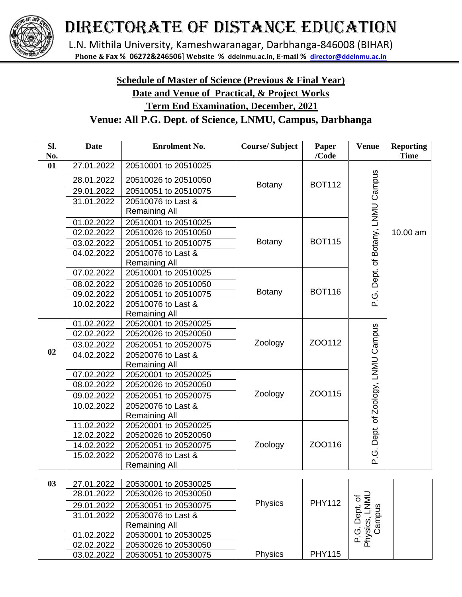

## DIRECTORATE OF DISTANCE EDUCATION

L.N. Mithila University, Kameshwaranagar, Darbhanga-846008 (BIHAR) **Phone & Fax % 06272&246506**] **Website % ddelnmu.ac.in, E-mail % [director@ddelnmu.ac.in](mailto:director@ddelnmu.net)**

## **Schedule of Master of Science (Previous & Final Year) Date and Venue of Practical, & Project Works Term End Examination, December, 2021**

## **Venue: All P.G. Dept. of Science, LNMU, Campus, Darbhanga**

| SI.<br>No. | <b>Date</b> | <b>Enrolment No.</b> | <b>Course/Subject</b> | Paper<br>/Code | <b>Venue</b>                             | <b>Reporting</b><br><b>Time</b> |
|------------|-------------|----------------------|-----------------------|----------------|------------------------------------------|---------------------------------|
| 01         | 27.01.2022  | 20510001 to 20510025 |                       |                |                                          |                                 |
|            | 28.01.2022  | 20510026 to 20510050 |                       |                | P.G. Dept. of Botany, LNMU Campus        |                                 |
|            | 29.01.2022  | 20510051 to 20510075 | <b>Botany</b>         | <b>BOT112</b>  |                                          |                                 |
|            | 31.01.2022  | 20510076 to Last &   |                       |                |                                          |                                 |
|            |             | <b>Remaining All</b> |                       |                |                                          |                                 |
|            | 01.02.2022  | 20510001 to 20510025 |                       |                |                                          |                                 |
|            | 02.02.2022  | 20510026 to 20510050 |                       |                |                                          | 10.00 am                        |
|            | 03.02.2022  | 20510051 to 20510075 | <b>Botany</b>         | <b>BOT115</b>  |                                          |                                 |
|            | 04.02.2022  | 20510076 to Last &   |                       |                |                                          |                                 |
|            |             | <b>Remaining All</b> |                       |                |                                          |                                 |
|            | 07.02.2022  | 20510001 to 20510025 |                       |                |                                          |                                 |
|            | 08.02.2022  | 20510026 to 20510050 |                       |                |                                          |                                 |
|            | 09.02.2022  | 20510051 to 20510075 | <b>Botany</b>         | <b>BOT116</b>  |                                          |                                 |
|            | 10.02.2022  | 20510076 to Last &   |                       |                |                                          |                                 |
|            |             | <b>Remaining All</b> |                       |                |                                          |                                 |
|            | 01.02.2022  | 20520001 to 20520025 |                       |                |                                          |                                 |
|            | 02.02.2022  | 20520026 to 20520050 |                       |                |                                          |                                 |
|            | 03.02.2022  | 20520051 to 20520075 | Zoology               | ZOO112         |                                          |                                 |
| 02         | 04.02.2022  | 20520076 to Last &   |                       |                | Dept. of Zoology, LNMU Campus            |                                 |
|            |             | <b>Remaining All</b> |                       |                |                                          |                                 |
|            | 07.02.2022  | 20520001 to 20520025 |                       |                |                                          |                                 |
|            | 08.02.2022  | 20520026 to 20520050 |                       |                |                                          |                                 |
|            | 09.02.2022  | 20520051 to 20520075 | Zoology               | ZOO115         |                                          |                                 |
|            | 10.02.2022  | 20520076 to Last &   |                       |                |                                          |                                 |
|            |             | <b>Remaining All</b> |                       |                |                                          |                                 |
|            | 11.02.2022  | 20520001 to 20520025 |                       |                |                                          |                                 |
|            | 12.02.2022  | 20520026 to 20520050 |                       |                |                                          |                                 |
|            | 14.02.2022  | 20520051 to 20520075 | Zoology               | ZOO116         |                                          |                                 |
|            | 15.02.2022  | 20520076 to Last &   |                       |                | ن<br>م                                   |                                 |
|            |             | <b>Remaining All</b> |                       |                |                                          |                                 |
| 03         | 27.01.2022  | 20530001 to 20530025 |                       |                |                                          |                                 |
|            | 28.01.2022  | 20530026 to 20530050 |                       |                |                                          |                                 |
|            | 29.01.2022  | 20530051 to 20530075 | Physics               | <b>PHY112</b>  | P.G. Dept. of<br>Physics, LNMU<br>Campus |                                 |
|            | 31.01.2022  | 20530076 to Last &   |                       |                |                                          |                                 |
|            |             | <b>Remaining All</b> |                       |                |                                          |                                 |
|            | 01.02.2022  | 20530001 to 20530025 |                       |                |                                          |                                 |
|            | 02.02.2022  | 20530026 to 20530050 |                       |                |                                          |                                 |
|            | 03.02.2022  | 20530051 to 20530075 | Physics               | <b>PHY115</b>  |                                          |                                 |